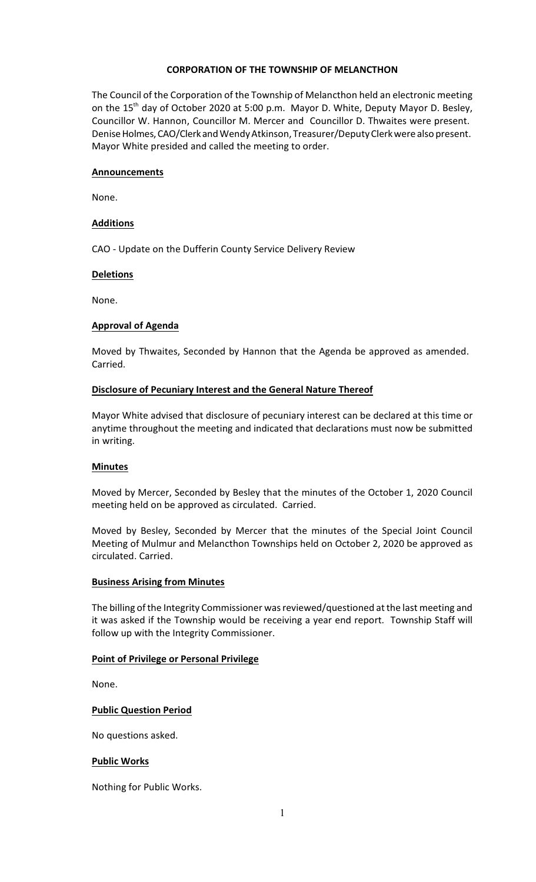### **CORPORATION OF THE TOWNSHIP OF MELANCTHON**

The Council of the Corporation of the Township of Melancthon held an electronic meeting on the  $15<sup>th</sup>$  day of October 2020 at 5:00 p.m. Mayor D. White, Deputy Mayor D. Besley, Councillor W. Hannon, Councillor M. Mercer and Councillor D. Thwaites were present. Denise Holmes, CAO/Clerk and Wendy Atkinson, Treasurer/Deputy Clerk were also present. Mayor White presided and called the meeting to order.

#### **Announcements**

None.

#### **Additions**

CAO - Update on the Dufferin County Service Delivery Review

#### **Deletions**

None.

#### **Approval of Agenda**

Moved by Thwaites, Seconded by Hannon that the Agenda be approved as amended. Carried.

#### **Disclosure of Pecuniary Interest and the General Nature Thereof**

Mayor White advised that disclosure of pecuniary interest can be declared at this time or anytime throughout the meeting and indicated that declarations must now be submitted in writing.

#### **Minutes**

Moved by Mercer, Seconded by Besley that the minutes of the October 1, 2020 Council meeting held on be approved as circulated. Carried.

Moved by Besley, Seconded by Mercer that the minutes of the Special Joint Council Meeting of Mulmur and Melancthon Townships held on October 2, 2020 be approved as circulated. Carried.

#### **Business Arising from Minutes**

The billing of the Integrity Commissioner was reviewed/questioned at the last meeting and it was asked if the Township would be receiving a year end report. Township Staff will follow up with the Integrity Commissioner.

### **Point of Privilege or Personal Privilege**

None.

### **Public Question Period**

No questions asked.

#### **Public Works**

Nothing for Public Works.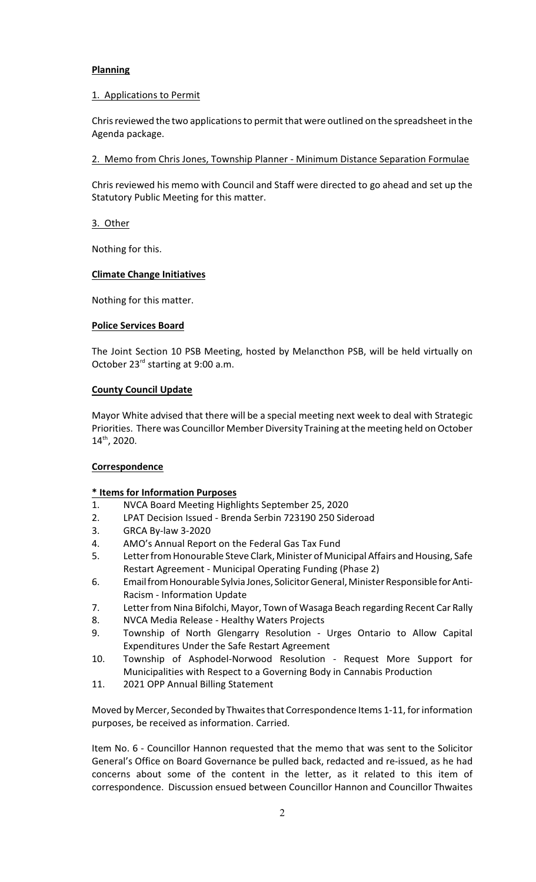### **Planning**

### 1. Applications to Permit

Chris reviewed the two applications to permit that were outlined on the spreadsheet in the Agenda package.

2. Memo from Chris Jones, Township Planner - Minimum Distance Separation Formulae

Chris reviewed his memo with Council and Staff were directed to go ahead and set up the Statutory Public Meeting for this matter.

3. Other

Nothing for this.

### **Climate Change Initiatives**

Nothing for this matter.

### **Police Services Board**

The Joint Section 10 PSB Meeting, hosted by Melancthon PSB, will be held virtually on October  $23<sup>rd</sup>$  starting at 9:00 a.m.

### **County Council Update**

Mayor White advised that there will be a special meeting next week to deal with Strategic Priorities. There was Councillor Member Diversity Training at the meeting held on October  $14<sup>th</sup>$ , 2020.

### **Correspondence**

# **\* Items for Information Purposes**

- 1. NVCA Board Meeting Highlights September 25, 2020
- 2. LPAT Decision Issued Brenda Serbin 723190 250 Sideroad
- 3. GRCA By-law 3-2020
- 4. AMO's Annual Report on the Federal Gas Tax Fund
- 5. Letter from Honourable Steve Clark, Minister of Municipal Affairs and Housing, Safe Restart Agreement - Municipal Operating Funding (Phase 2)
- 6. EmailfromHonourable Sylvia Jones, SolicitorGeneral, Minister Responsible forAnti-Racism - Information Update
- 7. Letter from Nina Bifolchi, Mayor, Town of Wasaga Beach regarding Recent Car Rally
- 8. NVCA Media Release Healthy Waters Projects
- 9. Township of North Glengarry Resolution Urges Ontario to Allow Capital Expenditures Under the Safe Restart Agreement
- 10. Township of Asphodel-Norwood Resolution Request More Support for Municipalities with Respect to a Governing Body in Cannabis Production
- 11. 2021 OPP Annual Billing Statement

Moved by Mercer, Seconded by Thwaites that Correspondence Items 1-11, forinformation purposes, be received as information. Carried.

Item No. 6 - Councillor Hannon requested that the memo that was sent to the Solicitor General's Office on Board Governance be pulled back, redacted and re-issued, as he had concerns about some of the content in the letter, as it related to this item of correspondence. Discussion ensued between Councillor Hannon and Councillor Thwaites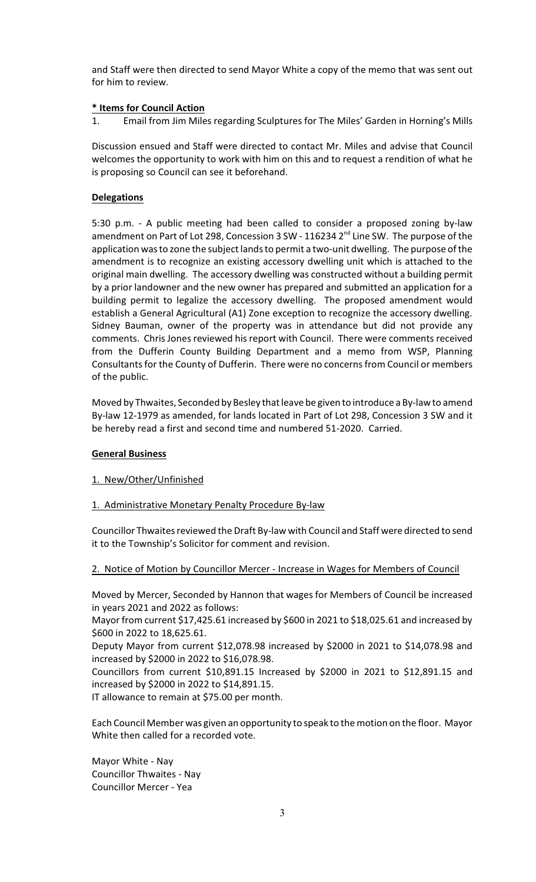and Staff were then directed to send Mayor White a copy of the memo that was sent out for him to review.

### **\* Items for Council Action**

1. Email from Jim Miles regarding Sculptures for The Miles' Garden in Horning's Mills

Discussion ensued and Staff were directed to contact Mr. Miles and advise that Council welcomes the opportunity to work with him on this and to request a rendition of what he is proposing so Council can see it beforehand.

# **Delegations**

5:30 p.m. - A public meeting had been called to consider a proposed zoning by-law amendment on Part of Lot 298, Concession 3 SW - 116234 2<sup>nd</sup> Line SW. The purpose of the application was to zone the subject lands to permit a two-unit dwelling. The purpose of the amendment is to recognize an existing accessory dwelling unit which is attached to the original main dwelling. The accessory dwelling was constructed without a building permit by a prior landowner and the new owner has prepared and submitted an application for a building permit to legalize the accessory dwelling. The proposed amendment would establish a General Agricultural (A1) Zone exception to recognize the accessory dwelling. Sidney Bauman, owner of the property was in attendance but did not provide any comments. Chris Jones reviewed his report with Council. There were comments received from the Dufferin County Building Department and a memo from WSP, Planning Consultants for the County of Dufferin. There were no concerns from Council or members of the public.

Moved by Thwaites, Seconded by Besley that leave be given to introduce a By-law to amend By-law 12-1979 as amended, for lands located in Part of Lot 298, Concession 3 SW and it be hereby read a first and second time and numbered 51-2020.Carried.

### **General Business**

### 1. New/Other/Unfinished

### 1. Administrative Monetary Penalty Procedure By-law

Councillor Thwaites reviewed the Draft By-law with Council and Staff were directed to send it to the Township's Solicitor for comment and revision.

### 2. Notice of Motion by Councillor Mercer - Increase in Wages for Members of Council

Moved by Mercer, Seconded by Hannon that wages for Members of Council be increased in years 2021 and 2022 as follows:

Mayor from current \$17,425.61 increased by \$600 in 2021 to \$18,025.61 and increased by \$600 in 2022 to 18,625.61.

Deputy Mayor from current \$12,078.98 increased by \$2000 in 2021 to \$14,078.98 and increased by \$2000 in 2022 to \$16,078.98.

Councillors from current \$10,891.15 Increased by \$2000 in 2021 to \$12,891.15 and increased by \$2000 in 2022 to \$14,891.15.

IT allowance to remain at \$75.00 per month.

Each Council Member was given an opportunity to speak to the motion on the floor. Mayor White then called for a recorded vote.

Mayor White - Nay Councillor Thwaites - Nay Councillor Mercer - Yea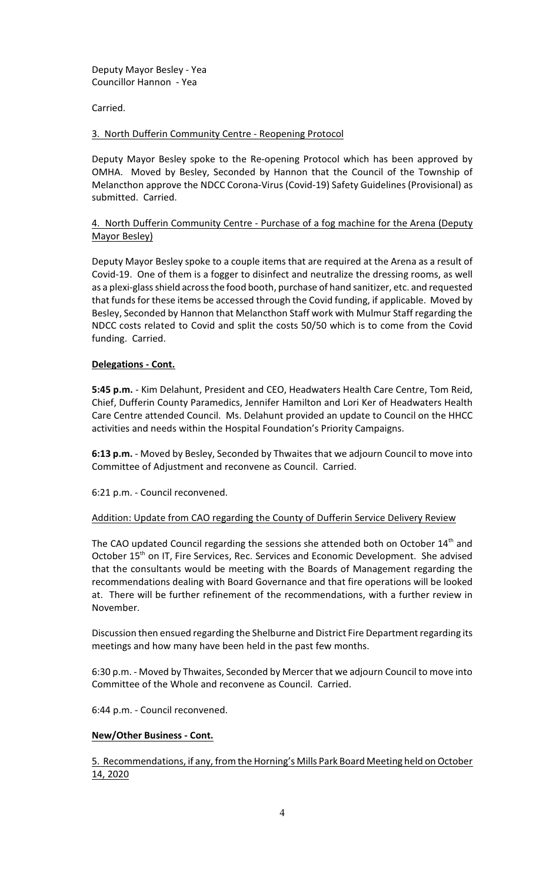Deputy Mayor Besley - Yea Councillor Hannon - Yea

Carried.

3. North Dufferin Community Centre - Reopening Protocol

Deputy Mayor Besley spoke to the Re-opening Protocol which has been approved by OMHA. Moved by Besley, Seconded by Hannon that the Council of the Township of Melancthon approve the NDCC Corona-Virus (Covid-19) Safety Guidelines (Provisional) as submitted. Carried.

4. North Dufferin Community Centre - Purchase of a fog machine for the Arena (Deputy Mayor Besley)

Deputy Mayor Besley spoke to a couple items that are required at the Arena as a result of Covid-19. One of them is a fogger to disinfect and neutralize the dressing rooms, as well as a plexi-glass shield across the food booth, purchase of hand sanitizer, etc. and requested that funds for these items be accessed through the Covid funding, if applicable. Moved by Besley, Seconded by Hannon that Melancthon Staff work with Mulmur Staff regarding the NDCC costs related to Covid and split the costs 50/50 which is to come from the Covid funding. Carried.

### **Delegations - Cont.**

**5:45 p.m.** - Kim Delahunt, President and CEO, Headwaters Health Care Centre, Tom Reid, Chief, Dufferin County Paramedics, Jennifer Hamilton and Lori Ker of Headwaters Health Care Centre attended Council. Ms. Delahunt provided an update to Council on the HHCC activities and needs within the Hospital Foundation's Priority Campaigns.

**6:13 p.m.** - Moved by Besley, Seconded by Thwaites that we adjourn Council to move into Committee of Adjustment and reconvene as Council. Carried.

6:21 p.m. - Council reconvened.

### Addition: Update from CAO regarding the County of Dufferin Service Delivery Review

The CAO updated Council regarding the sessions she attended both on October  $14<sup>th</sup>$  and October 15<sup>th</sup> on IT, Fire Services, Rec. Services and Economic Development. She advised that the consultants would be meeting with the Boards of Management regarding the recommendations dealing with Board Governance and that fire operations will be looked at. There will be further refinement of the recommendations, with a further review in November.

Discussion then ensued regarding the Shelburne and District Fire Department regarding its meetings and how many have been held in the past few months.

6:30 p.m. - Moved by Thwaites, Seconded by Mercer that we adjourn Council to move into Committee of the Whole and reconvene as Council. Carried.

6:44 p.m. - Council reconvened.

### **New/Other Business - Cont.**

5. Recommendations, if any, from the Horning's Mills Park Board Meeting held on October 14, 2020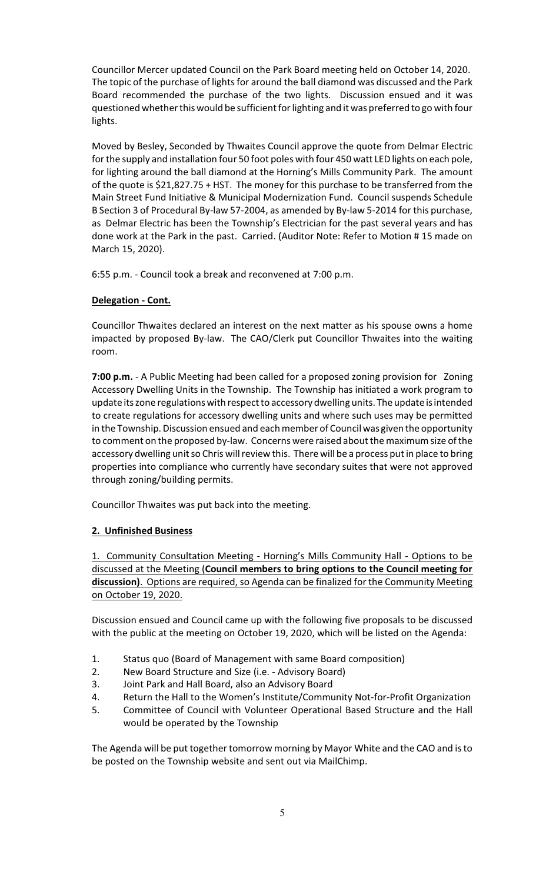Councillor Mercer updated Council on the Park Board meeting held on October 14, 2020. The topic of the purchase of lights for around the ball diamond was discussed and the Park Board recommended the purchase of the two lights. Discussion ensued and it was questioned whether this would be sufficient forlighting and it was preferred to go with four lights.

Moved by Besley, Seconded by Thwaites Council approve the quote from Delmar Electric for the supply and installation four 50 foot poles with four 450 watt LED lights on each pole, for lighting around the ball diamond at the Horning's Mills Community Park. The amount of the quote is \$21,827.75 + HST. The money for this purchase to be transferred from the Main Street Fund Initiative & Municipal Modernization Fund. Council suspends Schedule B Section 3 of Procedural By-law 57-2004, as amended by By-law 5-2014 for this purchase, as Delmar Electric has been the Township's Electrician for the past several years and has done work at the Park in the past. Carried. (Auditor Note: Refer to Motion # 15 made on March 15, 2020).

6:55 p.m. - Council took a break and reconvened at 7:00 p.m.

### **Delegation - Cont.**

Councillor Thwaites declared an interest on the next matter as his spouse owns a home impacted by proposed By-law. The CAO/Clerk put Councillor Thwaites into the waiting room.

**7:00 p.m.** - A Public Meeting had been called for a proposed zoning provision for Zoning Accessory Dwelling Units in the Township. The Township has initiated a work program to update its zone regulations with respect to accessory dwelling units. The update is intended to create regulations for accessory dwelling units and where such uses may be permitted in the Township. Discussion ensued and each member of Council was given the opportunity to comment on the proposed by-law. Concerns were raised about the maximum size of the accessory dwelling unit so Chris will review this. There will be a process put in place to bring properties into compliance who currently have secondary suites that were not approved through zoning/building permits.

Councillor Thwaites was put back into the meeting.

### **2. Unfinished Business**

1. Community Consultation Meeting - Horning's Mills Community Hall - Options to be discussed at the Meeting (**Council members to bring options to the Council meeting for discussion)**. Options are required, so Agenda can be finalized for the Community Meeting on October 19, 2020.

Discussion ensued and Council came up with the following five proposals to be discussed with the public at the meeting on October 19, 2020, which will be listed on the Agenda:

- 1. Status quo (Board of Management with same Board composition)
- 2. New Board Structure and Size (i.e. Advisory Board)
- 3. Joint Park and Hall Board, also an Advisory Board
- 4. Return the Hall to the Women's Institute/Community Not-for-Profit Organization
- 5. Committee of Council with Volunteer Operational Based Structure and the Hall would be operated by the Township

The Agenda will be put together tomorrow morning by Mayor White and the CAO and is to be posted on the Township website and sent out via MailChimp.